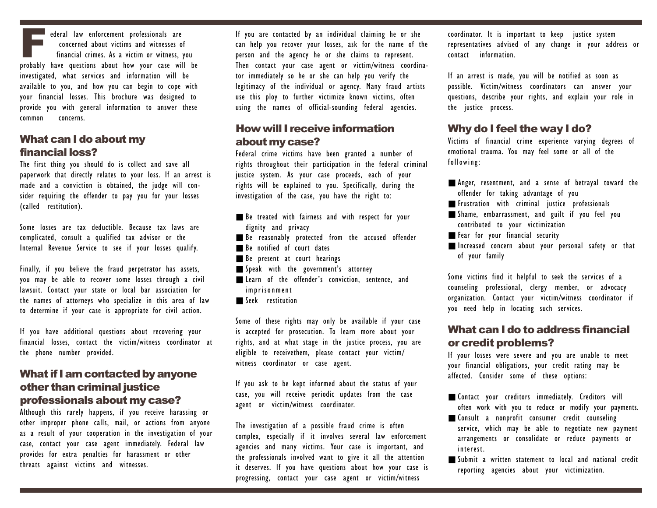Federal law enforcement professionals are concerned about victims and witnesses of financial crimes. As a victim or witness, you probably have questions about how your case will be investigated, what services and information will be available to you, and how you can begin to cope with your financial losses. This brochure was designed to provide you with general information to answer these common concerns.

# What can I do about my financial loss?

The first thing you should do is collect and save all paperwork that directly relates to your loss. If an arrest is made and a conviction is obtained, the judge will consider requiring the offender to pay you for your losses (called restitution).

Some losses are tax deductible. Because tax laws are complicated, consult a qualified tax advisor or the Internal Revenue Service to see if your losses qualify.

Finally, if you believe the fraud perpetrator has assets, you may be able to recover some losses through a civil lawsuit. Contact your state or local bar association for the names of attorneys who specialize in this area of law to determine if your case is appropriate for civil action.

If you have additional questions about recovering your financial losses, contact the victim/witness coordinator at the phone number provided.

## What if I am contacted by anyone other than criminal justice professionals about my case?

Although this rarely happens, if you receive harassing or other improper phone calls, mail, or actions from anyone as a result of your cooperation in the investigation of your case, contact your case agent immediately. Federal law provides for extra penalties for harassment or other threats against victims and witnesses.

If you are contacted by an individual claiming he or she can help you recover your losses, ask for the name of the person and the agency he or she claims to represent. Then contact your case agent or victim/witness coordinator immediately so he or she can help you verify the legitimacy of the individual or agency. Many fraud artists use this ploy to further victimize known victims, often using the names of official-sounding federal agencies.

# How will I receive information about my case?

Federal crime victims have been granted a number of rights throughout their participation in the federal criminal justice system. As your case proceeds, each of your rights will be explained to you. Specifically, during the investigation of the case, you have the right to:

- Be treated with fairness and with respect for your dignity and privacy
- Be reasonably protected from the accused offender
- Be notified of court dates
- Be present at court hearings
- Speak with the government's attorney
- Learn of the offender's conviction, sentence, and imprisonment
- Seek restitution

Some of these rights may only be available if your case is accepted for prosecution. To learn more about your rights, and at what stage in the justice process, you are eligible to receivethem, please contact your victim/ witness coordinator or case agent.

If you ask to be kept informed about the status of your case, you will receive periodic updates from the case agent or victim/witness coordinator.

The investigation of a possible fraud crime is often complex, especially if it involves several law enforcement agencies and many victims. Your case is important, and the professionals involved want to give it all the attention it deserves. If you have questions about how your case is progressing, contact your case agent or victim/witness

coordinator. It is important to keep justice system representatives advised of any change in your address or contact information.

If an arrest is made, you will be notified as soon as possible. Victim/witness coordinators can answer your questions, describe your rights, and explain your role in the justice process.

# Why do I feel the way I do?

Victims of financial crime experience varying degrees of emotional trauma. You may feel some or all of the following:

- Anger, resentment, and a sense of betrayal toward the offender for taking advantage of you
- Frustration with criminal justice professionals
- Shame, embarrassment, and guilt if you feel you contributed to your victimization
- Fear for your financial security
- Increased concern about your personal safety or that of your family

Some victims find it helpful to seek the services of a counseling professional, clergy member, or advocacy organization. Contact your victim/witness coordinator if you need help in locating such services.

# What can I do to address financial or credit problems?

If your losses were severe and you are unable to meet your financial obligations, your credit rating may be affected. Consider some of these options:

- Contact your creditors immediately. Creditors will often work with you to reduce or modify your payments.
- Consult a nonprofit consumer credit counseling service, which may be able to negotiate new payment arrangements or consolidate or reduce payments or interest.
- Submit a written statement to local and national credit reporting agencies about your victimization.